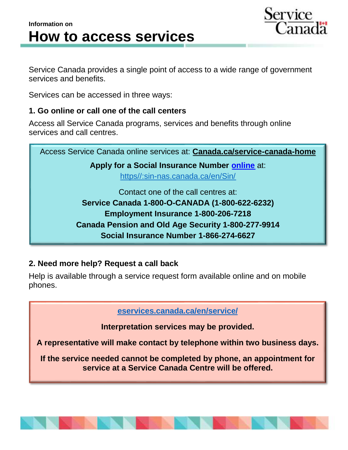



Service Canada provides a single point of access to a wide range of government services and benefits.

Services can be accessed in three ways:

## **1. Go online or call one of the call centers**

Access all Service Canada programs, services and benefits through online services and call centres.

Access Service Canada online services at: **[Canada.ca/service-canada-home](https://www.canada.ca/en/employment-social-development/corporate/portfolio/service-canada.html?utm_campaign=not-applicable&utm_medium=vanity-url&utm_source=canada-ca_Service-canada-home) Apply for a Social Insurance Number [online](https://www.canada.ca/en/employment-social-development/services/sin/apply.html#online)** at: [https//:sin-nas.canada.ca/en/Sin/](https://sin-nas.canada.ca/en/Sin/) Contact one of the call centres at: **Service Canada 1-800-O-CANADA (1-800-622-6232) Employment Insurance 1-800-206-7218 Canada Pension and Old Age Security 1-800-277-9914 Social Insurance Number 1-866-274-6627**

## **2. Need more help? Request a call back**

Help is available through a service request form available online and on mobile phones.

**[eservices.canada.ca/en/service/](https://eservices.canada.ca/en/service)**

**Interpretation services may be provided.**

**A representative will make contact by telephone within two business days.**

**If the service needed cannot be completed by phone, an appointment for service at a Service Canada Centre will be offered.**